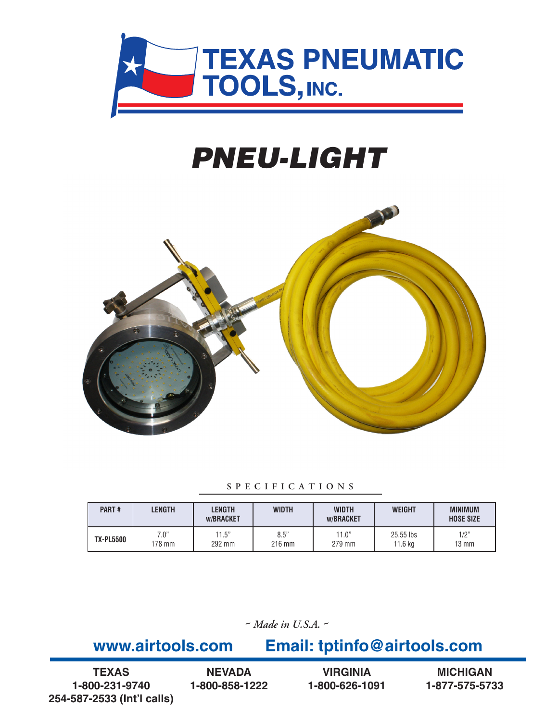

## *PNEU-LIGHT*



**S P E C I F I C A T I O N S**

| PART#            | <b>LENGTH</b> | <b>LENGTH</b><br>w/BRACKET | <b>WIDTH</b> | <b>WIDTH</b><br>w/BRACKET | <b>WEIGHT</b> | <b>MINIMUM</b><br><b>HOSE SIZE</b> |
|------------------|---------------|----------------------------|--------------|---------------------------|---------------|------------------------------------|
| <b>TX-PL5500</b> | 7.0"          | 11.5"                      | 8.5"         | 11.0"                     | 25.55 lbs     | 1/2"                               |
|                  | $178$ mm      | 292 mm                     | $216$ mm     | 279 mm                    | 11.6 kg       | 13 mm                              |

*~ Made in U.S.A. ~*

**www.airtools.com Email: tptinfo@airtools.com**

**TEXAS 1-800-231-9740 254-587-2533 (Int'l calls)**

**NEVADA 1-800-858-1222**

**VIRGINIA 1-800-626-1091**

**MICHIGAN 1-877-575-5733**